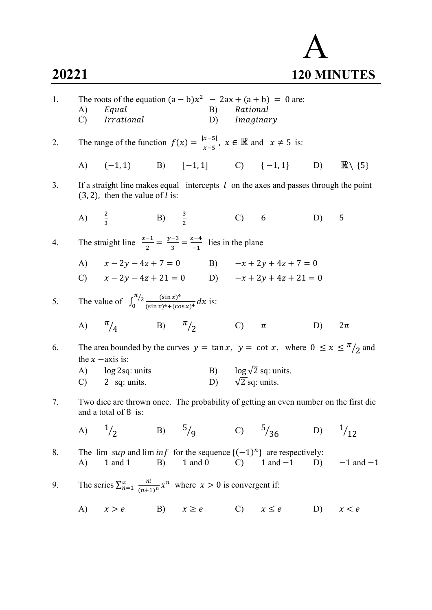## A 20221 120 MINUTES

| 1. | A)<br>C) | The roots of the equation $(a - b)x^2 - 2ax + (a + b) = 0$ are:<br>Equal<br><i>Irrational</i>                                       |          |            |                          | B) Rational<br>D) Imaginary |                               |           |                            |
|----|----------|-------------------------------------------------------------------------------------------------------------------------------------|----------|------------|--------------------------|-----------------------------|-------------------------------|-----------|----------------------------|
| 2. |          | The range of the function $f(x) = \frac{ x-5 }{x-5}$ , $x \in \mathbb{R}$ and $x \neq 5$ is:                                        |          |            |                          |                             |                               |           |                            |
|    |          | A) $(-1, 1)$ B) $[-1, 1]$ C) $\{-1, 1\}$ D)                                                                                         |          |            |                          |                             |                               |           | $\mathbb{R}\setminus\{5\}$ |
| 3. |          | If a straight line makes equal intercepts $l$ on the axes and passes through the point<br>$(3, 2)$ , then the value of <i>l</i> is: |          |            |                          |                             |                               |           |                            |
|    |          | A) $\frac{2}{3}$ B) $\frac{3}{2}$                                                                                                   |          |            |                          | C) 6                        |                               | D)        | 5                          |
| 4. |          | The straight line $\frac{x-1}{2} = \frac{y-3}{3} = \frac{z-4}{-1}$ lies in the plane                                                |          |            |                          |                             |                               |           |                            |
|    |          | A) $x - 2y - 4z + 7 = 0$                                                                                                            |          |            |                          |                             | B) $-x + 2y + 4z + 7 = 0$     |           |                            |
|    |          | C) $x - 2y - 4z + 21 = 0$ D) $-x + 2y + 4z + 21 = 0$                                                                                |          |            |                          |                             |                               |           |                            |
| 5. |          | The value of $\int_0^{\pi/2} \frac{(\sin x)^4}{(\sin x)^4 + (\cos x)^4} dx$ is:                                                     |          |            |                          |                             |                               |           |                            |
|    |          | A) $\frac{\pi}{4}$ B) $\frac{\pi}{2}$ C)                                                                                            |          |            |                          |                             | $\pi$                         | D)        | $2\pi$                     |
| 6. |          | The area bounded by the curves $y = \tan x$ , $y = \cot x$ , where $0 \le x \le \frac{\pi}{2}$ and<br>the $x$ -axis is:             |          |            |                          |                             |                               |           |                            |
|    | A)       | log 2sq: units                                                                                                                      |          |            |                          |                             | B) $\log \sqrt{2}$ sq: units. |           |                            |
|    |          | $C)$ 2 sq: units.                                                                                                                   |          |            | D) $\sqrt{2}$ sq: units. |                             |                               |           |                            |
| 7. |          | Two dice are thrown once. The probability of getting an even number on the first die<br>and a total of 8 is:                        |          |            |                          |                             |                               |           |                            |
|    | A)       | $^{1/2}$                                                                                                                            | B) $5/9$ |            |                          | C) $5/36$                   |                               | D) $1/12$ |                            |
| 8. | A)       | The lim sup and lim inf for the sequence $\{(-1)^n\}$ are respectively:<br>1 and 1                                                  | B)       |            | $1$ and $0$ $C)$         |                             | $1$ and $-1$ D)               |           | $-1$ and $-1$              |
| 9. |          | The series $\sum_{n=1}^{\infty} \frac{n!}{(n+1)^n} x^n$ where $x > 0$ is convergent if:                                             |          |            |                          |                             |                               |           |                            |
|    | A)       | x > e                                                                                                                               | B)       | $x \geq e$ |                          | $\mathbf{C}$                | $x \leq e$                    | D)        | x < e                      |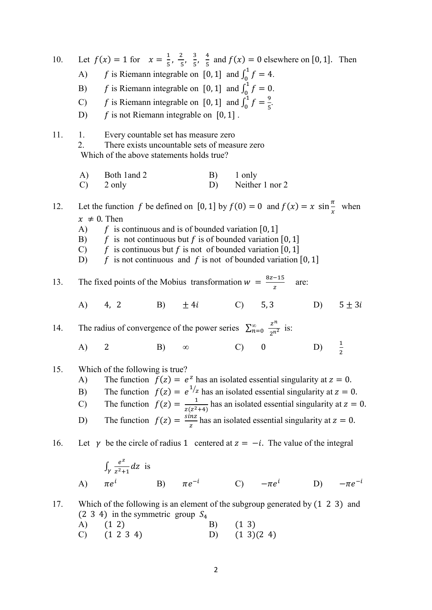| 10. |                                                                                                                                                                        | Let $f(x) = 1$ for $x = \frac{1}{5}, \frac{2}{5}, \frac{3}{5}, \frac{4}{5}$ and $f(x) = 0$ elsewhere on [0, 1]. Then               |    |          |    |                  |                 |    |               |  |  |  |
|-----|------------------------------------------------------------------------------------------------------------------------------------------------------------------------|------------------------------------------------------------------------------------------------------------------------------------|----|----------|----|------------------|-----------------|----|---------------|--|--|--|
|     | A)                                                                                                                                                                     | f is Riemann integrable on [0, 1] and $\int_0^1 f = 4$ .                                                                           |    |          |    |                  |                 |    |               |  |  |  |
|     | B)                                                                                                                                                                     | f is Riemann integrable on [0, 1] and $\int_0^1 f = 0$ .                                                                           |    |          |    |                  |                 |    |               |  |  |  |
|     |                                                                                                                                                                        | C) <i>f</i> is Riemann integrable on [0, 1] and $\int_0^1 f = \frac{9}{5}$ .                                                       |    |          |    |                  |                 |    |               |  |  |  |
|     |                                                                                                                                                                        | D) $f$ is not Riemann integrable on [0, 1].                                                                                        |    |          |    |                  |                 |    |               |  |  |  |
| 11. | 1.<br>2.                                                                                                                                                               | Every countable set has measure zero<br>There exists uncountable sets of measure zero<br>Which of the above statements holds true? |    |          |    |                  |                 |    |               |  |  |  |
|     | A)<br>$\mathcal{C}$                                                                                                                                                    | Both 1 and 2<br>2 only                                                                                                             |    |          | D) | B) 1 only        | Neither 1 nor 2 |    |               |  |  |  |
| 12. |                                                                                                                                                                        |                                                                                                                                    |    |          |    |                  |                 |    |               |  |  |  |
|     |                                                                                                                                                                        | Let the function f be defined on [0, 1] by $f(0) = 0$ and $f(x) = x \sin \frac{\pi}{x}$ when<br>$x \neq 0$ . Then                  |    |          |    |                  |                 |    |               |  |  |  |
|     |                                                                                                                                                                        | A) $f$ is continuous and is of bounded variation [0, 1]                                                                            |    |          |    |                  |                 |    |               |  |  |  |
|     |                                                                                                                                                                        | B) $f$ is not continuous but f is of bounded variation [0, 1]<br>C) $f$ is continuous but f is not of bounded variation [0, 1]     |    |          |    |                  |                 |    |               |  |  |  |
|     |                                                                                                                                                                        | D) $f$ is not continuous and f is not of bounded variation [0, 1]                                                                  |    |          |    |                  |                 |    |               |  |  |  |
| 13. |                                                                                                                                                                        | The fixed points of the Mobius transformation $w = \frac{8z-15}{z}$ are:                                                           |    |          |    |                  |                 |    |               |  |  |  |
|     |                                                                                                                                                                        | A) 4, 2 B) $\pm 4i$ C) 5, 3                                                                                                        |    |          |    |                  |                 | D) | $5 \pm 3i$    |  |  |  |
| 14. |                                                                                                                                                                        | The radius of convergence of the power series $\sum_{n=0}^{\infty} \frac{z^n}{2^n}$ is:                                            |    |          |    |                  |                 |    |               |  |  |  |
|     | A)                                                                                                                                                                     | 2                                                                                                                                  | B) | $\infty$ |    |                  | $(C)$ 0         | D) | $\frac{1}{2}$ |  |  |  |
| 15. |                                                                                                                                                                        | Which of the following is true?                                                                                                    |    |          |    |                  |                 |    |               |  |  |  |
|     | The function $f(z) = e^z$ has an isolated essential singularity at $z = 0$ .<br>A)<br>The function $f(z) = e^{1/z}$ has an isolated essential singularity at $z = 0$ . |                                                                                                                                    |    |          |    |                  |                 |    |               |  |  |  |
|     | B)                                                                                                                                                                     |                                                                                                                                    |    |          |    |                  |                 |    |               |  |  |  |
|     | $\mathcal{C}$                                                                                                                                                          | The function $f(z) = \frac{1}{z(z^2+4)}$ has an isolated essential singularity at $z = 0$ .                                        |    |          |    |                  |                 |    |               |  |  |  |
|     | D)                                                                                                                                                                     | The function $f(z) = \frac{\sin z}{z}$ has an isolated essential singularity at $z = 0$ .                                          |    |          |    |                  |                 |    |               |  |  |  |
| 16. |                                                                                                                                                                        | Let $\gamma$ be the circle of radius 1 centered at $z = -i$ . The value of the integral                                            |    |          |    |                  |                 |    |               |  |  |  |
|     |                                                                                                                                                                        | $\int_{\gamma} \frac{e^z}{z^2+1} dz$ is                                                                                            |    |          |    |                  |                 |    |               |  |  |  |
|     |                                                                                                                                                                        | A) $\pi e^{i}$ B) $\pi e^{-i}$ C) $-\pi e^{i}$ D) $-\pi e^{-i}$                                                                    |    |          |    |                  |                 |    |               |  |  |  |
| 17. |                                                                                                                                                                        | Which of the following is an element of the subgroup generated by (1 2 3) and<br>$(2\ 3\ 4)$ in the symmetric group $S_4$          |    |          |    |                  |                 |    |               |  |  |  |
|     |                                                                                                                                                                        | A) (1 2)                                                                                                                           |    |          |    | B) (1 3)         |                 |    |               |  |  |  |
|     | $\mathcal{C}$                                                                                                                                                          | $(1\ 2\ 3\ 4)$                                                                                                                     |    |          | D) | $(1 \ 3)(2 \ 4)$ |                 |    |               |  |  |  |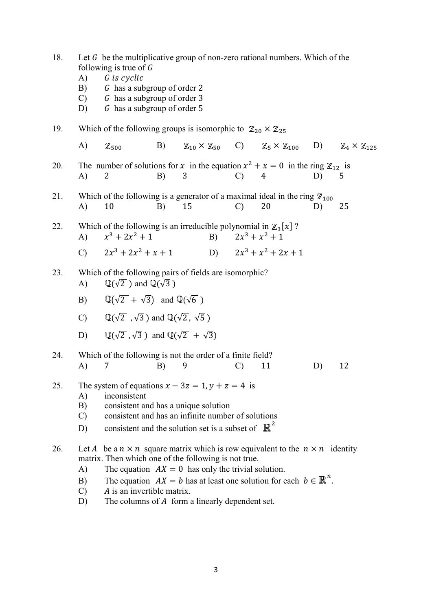| 18. | following is true of $G$<br>A)<br>B)<br>$\mathcal{C}$<br>D) | Let $G$ be the multiplicative group of non-zero rational numbers. Which of the<br>G is cyclic<br>G has a subgroup of order 2<br>G has a subgroup of order 3<br>G has a subgroup of order 5                                                                                                    |    |                     |                                                                                          |    |                                      |
|-----|-------------------------------------------------------------|-----------------------------------------------------------------------------------------------------------------------------------------------------------------------------------------------------------------------------------------------------------------------------------------------|----|---------------------|------------------------------------------------------------------------------------------|----|--------------------------------------|
| 19. |                                                             | Which of the following groups is isomorphic to $\mathbb{Z}_{20} \times \mathbb{Z}_{25}$                                                                                                                                                                                                       |    |                     |                                                                                          |    |                                      |
|     | A)<br>$\mathbb{Z}_{500}$                                    |                                                                                                                                                                                                                                                                                               |    |                     | B) $\mathbb{Z}_{10} \times \mathbb{Z}_{50}$ C) $\mathbb{Z}_5 \times \mathbb{Z}_{100}$ D) |    | $\mathbb{Z}_4\times\mathbb{Z}_{125}$ |
| 20. | A)<br>2                                                     | The number of solutions for x in the equation $x^2 + x = 0$ in the ring $\mathbb{Z}_{12}$ is<br>B)                                                                                                                                                                                            | 3  | $\mathbf{C}$        | 4                                                                                        | D) | 5                                    |
| 21. | A)<br>10                                                    | Which of the following is a generator of a maximal ideal in the ring $\mathbb{Z}_{100}$<br>B)                                                                                                                                                                                                 | 15 | $\mathcal{C}$       | 20                                                                                       | D) | 25                                   |
| 22. | $\bf{A}$                                                    | Which of the following is an irreducible polynomial in $\mathbb{Z}_3[x]$ ?<br>$x^3 + 2x^2 + 1$                                                                                                                                                                                                |    | B) $2x^3 + x^2 + 1$ |                                                                                          |    |                                      |
|     |                                                             | C) $2x^3 + 2x^2 + x + 1$                                                                                                                                                                                                                                                                      |    |                     | D) $2x^3 + x^2 + 2x + 1$                                                                 |    |                                      |
| 23. | A)                                                          | Which of the following pairs of fields are isomorphic?<br>$\mathbb{Q}(\sqrt{2})$ and $\mathbb{Q}(\sqrt{3})$                                                                                                                                                                                   |    |                     |                                                                                          |    |                                      |
|     | B)                                                          | $\mathbb{Q}(\sqrt{2} + \sqrt{3})$ and $\mathbb{Q}(\sqrt{6})$                                                                                                                                                                                                                                  |    |                     |                                                                                          |    |                                      |
|     | $\mathcal{C}$                                               | $\mathbb{Q}(\sqrt{2}, \sqrt{3})$ and $\mathbb{Q}(\sqrt{2}, \sqrt{5})$                                                                                                                                                                                                                         |    |                     |                                                                                          |    |                                      |
|     | D)                                                          | $\mathbb{Q}(\sqrt{2},\sqrt{3})$ and $\mathbb{Q}(\sqrt{2} + \sqrt{3})$                                                                                                                                                                                                                         |    |                     |                                                                                          |    |                                      |
| 24. | 7<br>A)                                                     | Which of the following is not the order of a finite field?<br>B)                                                                                                                                                                                                                              | 9  | $\mathcal{C}$       | 11                                                                                       | D) | 12                                   |
| 25. | A)<br>B)<br>$\mathcal{C}$<br>D)                             | The system of equations $x - 3z = 1$ , $y + z = 4$ is<br>inconsistent<br>consistent and has a unique solution<br>consistent and has an infinite number of solutions<br>consistent and the solution set is a subset of $\mathbb{R}^2$                                                          |    |                     |                                                                                          |    |                                      |
| 26. | A)<br>B)                                                    | Let A be a $n \times n$ square matrix which is row equivalent to the $n \times n$ identity<br>matrix. Then which one of the following is not true.<br>The equation $AX = 0$ has only the trivial solution.<br>The equation $AX = b$ has at least one solution for each $b \in \mathbb{R}^n$ . |    |                     |                                                                                          |    |                                      |

- $C$ ) A is an invertible matrix.
- D) The columns of  $A$  form a linearly dependent set.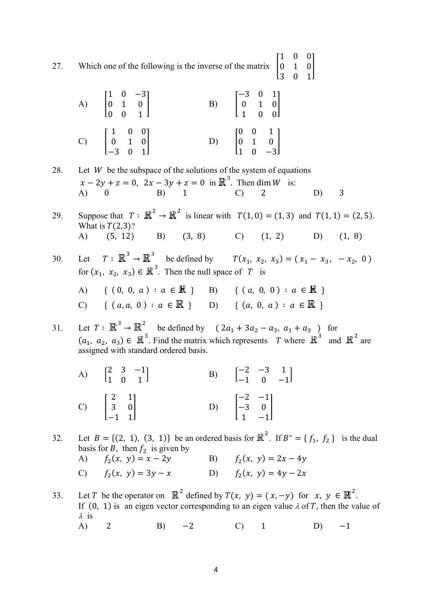27. Which one of the following is the inverse of the matrix  $\begin{bmatrix} 1 \\ 0 \end{bmatrix}$  $\begin{vmatrix} 0 & 1 \\ 3 & 0 \end{vmatrix}$  $3 \t 0 \t 1$  $|0|$ 

| A) $\begin{bmatrix} 1 & 0 & -3 \\ 0 & 1 & 0 \\ 0 & 0 & 1 \end{bmatrix}$ | B) $\begin{bmatrix} -3 & 0 & 1 \\ 0 & 1 & 0 \\ 1 & 0 & 0 \end{bmatrix}$ |
|-------------------------------------------------------------------------|-------------------------------------------------------------------------|
| C) $\begin{bmatrix} 1 & 0 & 0 \\ 0 & 1 & 0 \\ -3 & 0 & 1 \end{bmatrix}$ | D) $\begin{bmatrix} 0 & 0 & 1 \\ 0 & 1 & 0 \\ 1 & 0 & -3 \end{bmatrix}$ |

| 28. | Let $W$ be the subspace of the solutions of the system of equations |  |  |  |                                                                         |  |  |  |  |  |
|-----|---------------------------------------------------------------------|--|--|--|-------------------------------------------------------------------------|--|--|--|--|--|
|     |                                                                     |  |  |  | $x - 2y + z = 0$ , $2x - 3y + z = 0$ in $\mathbb{R}^3$ . Then dim W is: |  |  |  |  |  |
|     |                                                                     |  |  |  | A) 0 B) 1 C) 2 D) 3                                                     |  |  |  |  |  |
|     |                                                                     |  |  |  |                                                                         |  |  |  |  |  |

29. Suppose that  $T: \mathbb{R}^2 \to \mathbb{R}^2$  is linear with  $T(1, 0) = (1, 3)$  and  $T(1, 1) = (2, 5)$ . What is  $T(2,3)$ ?<br>A) (5, 12) A) (5, 12) B) (3, 8) C) (1, 2) D) (1, 8)

30. Let 
$$
T: \mathbb{R}^3 \to \mathbb{R}^3
$$
 be defined by  $T(x_1, x_2, x_3) = (x_1 - x_3, -x_2, 0)$   
for  $(x_1, x_2, x_3) \in \mathbb{R}^3$ . Then the null space of  $T$  is  
A) { $(0, 0, a) : a \in \mathbb{R}$ } B) { $(a, 0, 0) : a \in \mathbb{R}$ }  
C) { $(a, a, 0) : a \in \mathbb{R}$ } D) { $(a, 0, a) : a \in \mathbb{R}$ }

31. Let  $T: \mathbb{R}^3 \to \mathbb{R}^2$  be defined by  $(2a_1 + 3a_2 - a_3, a_1 + a_3)$  for  $(a_1, a_2, a_3) \in \mathbb{R}^3$ . Find the matrix which represents T where  $\mathbb{R}^3$  and  $\mathbb{R}^2$  are assigned with standard ordered basis.

| A) $\begin{bmatrix} 2 & 3 & -1 \\ 1 & 0 & 1 \end{bmatrix}$  | B) $\begin{bmatrix} -2 & -3 & 1 \\ -1 & 0 & -1 \end{bmatrix}$  |
|-------------------------------------------------------------|----------------------------------------------------------------|
| C) $\begin{bmatrix} 2 & 1 \\ 3 & 0 \\ -1 & 1 \end{bmatrix}$ | D) $\begin{bmatrix} -2 & -1 \\ -3 & 0 \\ 1 & -1 \end{bmatrix}$ |

32. Let  $B = \{(2, 1), (3, 1)\}\)$  be an ordered basis for  $\mathbb{R}^2$ . If  $B^* = \{f_1, f_2\}$  is the dual basis for B, then  $f_2$  is given by

| A) $f_2(x, y) = x - 2y$ | B) $f_2(x, y) = 2x - 4y$ |
|-------------------------|--------------------------|
| C) $f_2(x, y) = 3y - x$ | D) $f_2(x, y) = 4y - 2x$ |

33. Let T be the operator on  $\mathbb{R}^2$  defined by  $T(x, y) = (x, -y)$  for  $x, y \in \mathbb{R}^2$ . If (0, 1) is an eigen vector corresponding to an eigen value  $\lambda$  of T, then the value of  $\lambda$  is A) 2 B) −2 C) 1 D) −1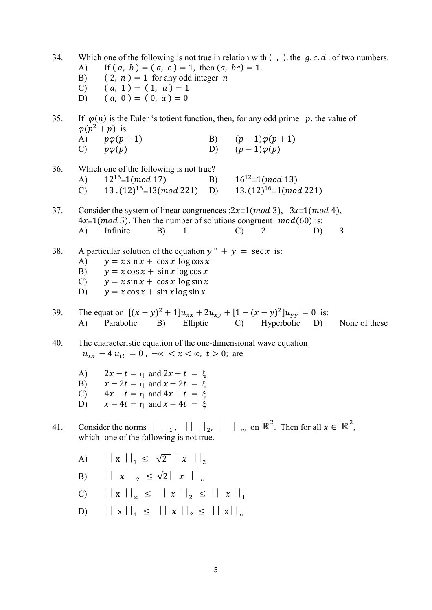| 34. | A)                               | Which one of the following is not true in relation with $($ , $)$ , the $g.c.d.$ of two numbers.<br>If $(a, b) = (a, c) = 1$ , then $(a, bc) = 1$ .<br>B) $(2, n) = 1$ for any odd integer <i>n</i><br>C) $(a, 1) = (1, a) = 1$<br>D) $(a, 0) = (0, a) = 0$ |  |                      |                                 |    |               |  |  |
|-----|----------------------------------|-------------------------------------------------------------------------------------------------------------------------------------------------------------------------------------------------------------------------------------------------------------|--|----------------------|---------------------------------|----|---------------|--|--|
| 35. |                                  | If $\varphi(n)$ is the Euler 's totient function, then, for any odd prime p, the value of<br>$\varphi(p^2+p)$ is<br>A) $p\varphi(p+1)$                                                                                                                      |  |                      | B) $(p-1)\varphi(p+1)$          |    |               |  |  |
|     |                                  | C) $p\varphi(p)$                                                                                                                                                                                                                                            |  | D) $(p-1)\varphi(p)$ |                                 |    |               |  |  |
| 36. | (A)<br>$\mathbf{C}$              | Which one of the following is not true?<br>$12^{16} \equiv 1 \pmod{17}$<br>13. $(12)^{16} \equiv 13 \pmod{221}$ D) 13. $(12)^{16} \equiv 1 \pmod{221}$                                                                                                      |  |                      | B) $16^{12} \equiv 1 \pmod{13}$ |    |               |  |  |
| 37. | A)                               | Consider the system of linear congruences : $2x \equiv 1 \pmod{3}$ , $3x \equiv 1 \pmod{4}$ ,<br>$4x \equiv 1 \pmod{5}$ . Then the number of solutions congruent $mod(60)$ is:<br>Infinite<br>$\mathbf{1}$<br>B)                                            |  | $\mathcal{C}$        | 2                               | D) | 3             |  |  |
| 38. | A)<br>B)<br>$\mathbf{C}$ )<br>D) | A particular solution of the equation $y'' + y = \sec x$ is:<br>$y = x \sin x + \cos x \log \cos x$<br>$y = x \cos x + \sin x \log \cos x$<br>$y = x \sin x + \cos x \log \sin x$<br>$y = x \cos x + \sin x \log \sin x$                                    |  |                      |                                 |    |               |  |  |
| 39. | A)                               | The equation $[(x - y)^2 + 1]u_{xx} + 2u_{xy} + [1 - (x - y)^2]u_{yy} = 0$ is:<br>Parabolic<br>B) Elliptic C) Hyperbolic D)                                                                                                                                 |  |                      |                                 |    | None of these |  |  |
| 40. |                                  | The characteristic equation of the one-dimensional wave equation<br>$u_{xx} - 4u_{tt} = 0$ , $-\infty < x < \infty$ , $t > 0$ ; are                                                                                                                         |  |                      |                                 |    |               |  |  |
|     | B)<br>C)<br>D)                   | A) $2x - t = \eta$ and $2x + t = \xi$<br>$x-2t = \eta$ and $x + 2t = \xi$<br>$4x - t = \eta$ and $4x + t = \xi$<br>$x-4t = \eta$ and $x + 4t = \xi$                                                                                                         |  |                      |                                 |    |               |  |  |
| 41. |                                  | Consider the norms $   \cdot   _1$ , $   \cdot   _2$ , $   \cdot   _{\infty}$ on $\mathbb{R}^2$ . Then for all $x \in \mathbb{R}^2$ ,<br>which one of the following is not true.                                                                            |  |                      |                                 |    |               |  |  |
|     | A)                               | $\left \left  \begin{array}{c} x \\ x \end{array}\right \right _1 \leq \sqrt{2} \left \left  \begin{array}{c} x \\ x \end{array}\right \right _2$                                                                                                           |  |                      |                                 |    |               |  |  |
|     | B)                               | $\left \left  \begin{array}{c} x \\ x \end{array}\right \right _2 \leq \sqrt{2} \left \left  \begin{array}{c} x \\ x \end{array}\right \right _{\infty}$                                                                                                    |  |                      |                                 |    |               |  |  |
|     | $\mathcal{C}$                    | $  x  _{\infty} \leq   x  _{2} \leq   x  _{1}$                                                                                                                                                                                                              |  |                      |                                 |    |               |  |  |
|     | D)                               | $  x  _1 \le   x  _2 \le   x  _{\infty}$                                                                                                                                                                                                                    |  |                      |                                 |    |               |  |  |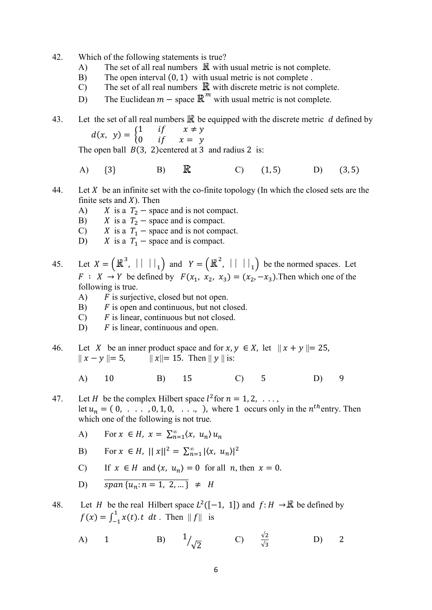- 42. Which of the following statements is true?
	- A) The set of all real numbers  $\mathbb R$  with usual metric is not complete.
	- B) The open interval  $(0, 1)$  with usual metric is not complete.
	- C) The set of all real numbers  $\mathbb R$  with discrete metric is not complete.
	- D) The Euclidean  $m -$  space  $\mathbb{R}^m$  with usual metric is not complete.

43. Let the set of all real numbers  $\mathbb R$  be equipped with the discrete metric d defined by  $d(x, y) = \begin{cases} 1 & \text{if } x \neq y \\ 0 & \text{if } x = y \end{cases}$ 0 if  $x = y$ 

The open ball  $B(3, 2)$ centered at 3 and radius 2 is:

- A)  $\{3\}$  B)  $\mathbb{R}$  C)  $(1, 5)$  D)  $(3, 5)$
- 44. Let X be an infinite set with the co-finite topology (In which the closed sets are the finite sets and  $X$ ). Then
	- A)  $X$  is a  $T_2$  space and is not compact.
	- B)  $X$  is a  $T_2$  space and is compact.
	- C)  $X$  is a  $T_1$  space and is not compact.<br>D)  $X$  is a  $T_1$  space and is compact.
	- X is a  $T_1$  space and is compact.
- 45. Let  $X = (\mathbb{R}^3, || \cdot ||_1)$  and  $Y = (\mathbb{R}^2, || \cdot ||_1)$  be the normed spaces. Let  $F: X \to Y$  be defined by  $F(x_1, x_2, x_3) = (x_2, -x_3)$ . Then which one of the following is true.
	- A)  $F$  is surjective, closed but not open.
	- $\mathbf{B}$   $\mathbf{F}$  is open and continuous, but not closed.
	- $C$ )  $F$  is linear, continuous but not closed.
	- D)  $F$  is linear, continuous and open.
- 46. Let X be an inner product space and for  $x, y \in X$ , let  $||x + y|| = 25$ ,  $|| x - y || = 5,$   $|| x || = 15.$  Then  $|| y ||$  is:
	- A) 10 B) 15 C) 5 D) 9
- 47. Let *H* be the complex Hilbert space  $l^2$  for  $n = 1, 2, \ldots$ , let  $u_n = (0, \ldots, 0, 1, 0, \ldots)$ , where 1 occurs only in the  $n^{th}$  entry. Then which one of the following is not true.
	- A) For  $x \in H$ ,  $x = \sum_{n=1}^{\infty} \langle x, u_n \rangle u_n$
	- B) For  $x \in H$ ,  $||x||^2 = \sum_{n=1}^{\infty} |\langle x, u_n \rangle|^2$
	- C) If  $x \in H$  and  $\langle x, u_n \rangle = 0$  for all  $n$ , then  $x = 0$ .

$$
D) \qquad \overline{span\{u_n:n=1,\ 2,\ldots\}} \neq H
$$

48. Let *H* be the real Hilbert space  $L^2([-1, 1])$  and  $f: H \to \mathbb{R}$  be defined by  $f(x) = \int_{-1}^{1} x(t) \cdot t \, dt$ . Then  $||f||$  is

A) 1 B) 
$$
1/\sqrt{2}
$$
 C)  $\frac{\sqrt{2}}{\sqrt{3}}$  D) 2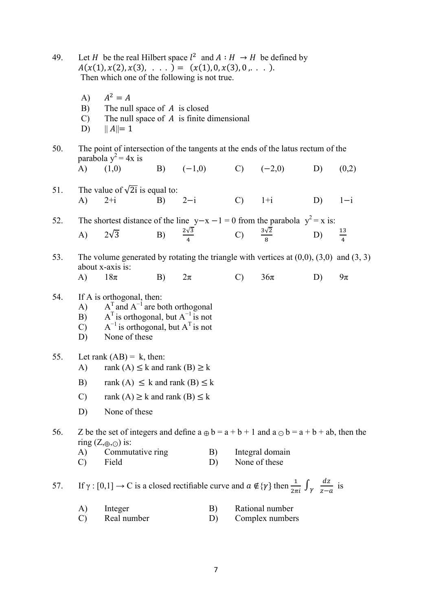| 49. | Let H be the real Hilbert space $l^2$ and $A : H \to H$ be defined by |
|-----|-----------------------------------------------------------------------|
|     | $A(x(1), x(2), x(3), \ldots) = (x(1), 0, x(3), 0, \ldots).$           |
|     | Then which one of the following is not true.                          |

- A)  $A^2 = A$ B) The null space of  $A$  is closed  $C$ ) The null space of  $A$  is finite dimensional
- D)  $||A||= 1$
- 50. The point of intersection of the tangents at the ends of the latus rectum of the parabola  $y^2 = 4x$  is
	- A)  $(1,0)$  B)  $(-1,0)$  C)  $(-2,0)$  D)  $(0,2)$
- 51. The value of  $\sqrt{2i}$  is equal to: A) 2+i B) 2−i C) 1+i D) 1−i

## 52. The shortest distance of the line y–x −1 = 0 from the parabola  $y^2 = x$  is: A)  $2\sqrt{3}$  B)  $\frac{2\sqrt{3}}{4}$  $\frac{2\sqrt{3}}{4}$ C)  $\frac{3\sqrt{2}}{8}$ D)  $\frac{13}{4}$

53. The volume generated by rotating the triangle with vertices at (0,0), (3,0) and (3, 3) about x-axis is: A)  $18\pi$  B)  $2\pi$  C)  $36\pi$  D)  $9\pi$ 

## 54. If A is orthogonal, then:

- A)  $A<sup>T</sup>$  and  $A<sup>-1</sup>$  are both orthogonal
- B)  $A^T$  is orthogonal, but  $A^{-1}$  is not
- C)  $A^{-1}$  is orthogonal, but  $A^{T}$  is not
	- D) None of these
- 55. Let rank  $(AB) = k$ , then:
	- A) rank  $(A) \leq k$  and rank  $(B) \geq k$
	- B) rank  $(A) \leq k$  and rank  $(B) \leq k$
	- C) rank  $(A) \ge k$  and rank  $(B) \le k$
	- D) None of these

56. Z be the set of integers and define  $a \oplus b = a + b + 1$  and  $a \ominus b = a + b + ab$ , then the ring  $(Z, \oplus, \odot)$  is:

- A) Commutative ring B) Integral domain
- C) Field D) None of these

57. If γ : [0,1] → C is a closed rectifiable curve and  $\alpha \notin {\gamma}$  then  $\frac{1}{2\pi i} \int_{\gamma} \frac{dz}{z-\alpha}$  $\frac{az}{z-a}$  is

- A) Integer B) Rational number
- C) Real number D) Complex numbers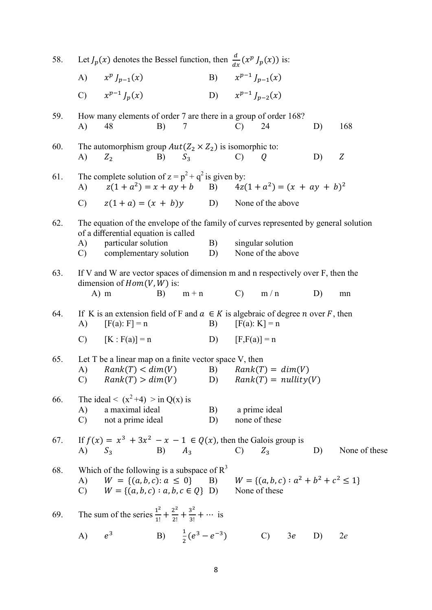| 58. |                     | Let $J_p(x)$ denotes the Bessel function, then $\frac{d}{dx}(x^p J_p(x))$ is:                                                                                            |            |                                |                           |               |                                        |    |    |               |
|-----|---------------------|--------------------------------------------------------------------------------------------------------------------------------------------------------------------------|------------|--------------------------------|---------------------------|---------------|----------------------------------------|----|----|---------------|
|     |                     | A) $x^p J_{p-1}(x)$                                                                                                                                                      |            |                                |                           |               | B) $x^{p-1} J_{p-1}(x)$                |    |    |               |
|     |                     | C) $x^{p-1} J_p(x)$                                                                                                                                                      |            |                                |                           |               | D) $x^{p-1} J_{p-2}(x)$                |    |    |               |
| 59. | A)                  | How many elements of order 7 are there in a group of order 168?<br>48                                                                                                    | B)         | 7                              |                           | C)            | 24                                     |    | D) | 168           |
| 60. | A)                  | The automorphism group $Aut(Z_2 \times Z_2)$ is isomorphic to:<br>$Z_{2}$                                                                                                | $B)$ $S_3$ |                                |                           | $\mathcal{C}$ | Q                                      |    | D) | Z             |
| 61. | $\bf{A}$            | The complete solution of $z = p^2 + q^2$ is given by:<br>$z(1 + a^2) = x + ay + b$ B) $4z(1 + a^2) = (x + ay + b)^2$                                                     |            |                                |                           |               |                                        |    |    |               |
|     |                     | C) $z(1 + a) = (x + b)y$ D) None of the above                                                                                                                            |            |                                |                           |               |                                        |    |    |               |
| 62. |                     | The equation of the envelope of the family of curves represented by general solution<br>of a differential equation is called                                             |            |                                |                           |               |                                        |    |    |               |
|     | A)<br>$\mathbf{C}$  | particular solution<br>complementary solution                                                                                                                            |            |                                | B)<br>D)                  |               | singular solution<br>None of the above |    |    |               |
| 63. |                     | If V and W are vector spaces of dimension m and n respectively over F, then the<br>dimension of $Hom(V, W)$ is:                                                          |            |                                |                           |               |                                        |    |    |               |
|     |                     | $A)$ m                                                                                                                                                                   | B)         | $m + n$                        | $C)$ m/n                  |               |                                        |    | D) | mn            |
| 64. | A)                  | If K is an extension field of F and $a \in K$ is algebraic of degree <i>n</i> over F, then<br>$[F(a): F] = n$                                                            |            |                                | B)                        |               | $[F(a): K] = n$                        |    |    |               |
|     |                     | C) $[K : F(a)] = n$                                                                                                                                                      |            |                                | D) $[F,F(a)] = n$         |               |                                        |    |    |               |
| 65. | A)                  | Let $T$ be a linear map on a finite vector space $V$ , then<br>Rank(T) < dim(V)<br>C) $Rank(T) > dim(V)$                                                                 |            |                                | D) $Rank(T) = nullity(V)$ |               | B) $Rank(T) = dim(V)$                  |    |    |               |
| 66. | A)<br>$\mathcal{C}$ | The ideal < $(x^2+4)$ > in Q(x) is<br>a maximal ideal<br>not a prime ideal                                                                                               |            |                                | B)<br>D)                  |               | a prime ideal<br>none of these         |    |    |               |
| 67. |                     | If $f(x) = x^3 + 3x^2 - x - 1 \in Q(x)$ , then the Galois group is<br>A) $S_3$ B) $A_3$                                                                                  |            |                                | $\overline{C}$            |               | $Z_3$                                  |    | D) | None of these |
| 68. | A)                  | Which of the following is a subspace of $R^3$<br>$W = \{(a, b, c): a \le 0\}$ B) $W = \{(a, b, c): a^2 + b^2 + c^2 \le 1\}$<br>C) $W = \{(a, b, c) : a, b, c \in Q\}$ D) |            |                                |                           |               | None of these                          |    |    |               |
| 69. |                     | The sum of the series $\frac{1^2}{1!} + \frac{2^2}{2!} + \frac{3^2}{3!} + \cdots$ is                                                                                     |            |                                |                           |               |                                        |    |    |               |
|     | A)                  | $e^3$                                                                                                                                                                    |            | B) $\frac{1}{2}(e^3 - e^{-3})$ |                           |               | $\mathcal{C}$ )                        | 3e | D) | 2e            |